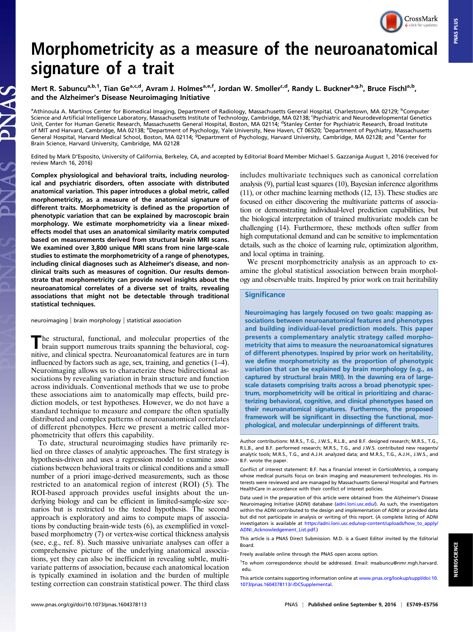## CrossMark

**PNAS PLUS** 

# Morphometricity as a measure of the neuroanatomical signature of a trait

المستعدم المستعدم المستعدم المستعدم المستعدم المستعدم المستعدم المستعدم المستعدم المستعدم المستعدم المستعدم ال<br>Mert R. Sabuncu<sup>a,b,1</sup>, Tian Ge<sup>a,c,d</sup>, Avram J. Holmes<sup>a,e,f</sup>, Jordan W. Smoller<sup>c,d</sup>, Randy L. Buckner<sup>a,g,h</sup> and the Alzheimer's Disease Neuroimaging Initiative

<sup>a</sup>Athinoula A. Martinos Center for Biomedical Imaging, Department of Radiology, Massachusetts General Hospital, Charlestown, MA 02129; <sup>b</sup>Computer Science and Artificial Intelligence Laboratory, Massachusetts Institute of Technology, Cambridge, MA 02138; <sup>c</sup> Psychiatric and Neurodevelopmental Genetics Unit, Center for Human Genetic Research, Massachusetts General Hospital, Boston, MA 02114; <sup>d</sup>Stanley Center for Psychiatric Research, Broad Institute of MIT and Harvard, Cambridge, MA 02138; <sup>e</sup>Department of Psychology, Yale University, New Haven, CT 06520; <sup>f</sup>Department of Psychiatry, Massachusetts General Hospital, Harvard Medical School, Boston, MA 02114; <sup>9</sup>Department of Psychology, Harvard University, Cambridge, MA 02128; and <sup>h</sup>Center for Brain Science, Harvard University, Cambridge, MA 02128

Edited by Mark D'Esposito, University of California, Berkeley, CA, and accepted by Editorial Board Member Michael S. Gazzaniga August 1, 2016 (received for review March 16, 2016)

Complex physiological and behavioral traits, including neurological and psychiatric disorders, often associate with distributed anatomical variation. This paper introduces a global metric, called morphometricity, as a measure of the anatomical signature of different traits. Morphometricity is defined as the proportion of phenotypic variation that can be explained by macroscopic brain morphology. We estimate morphometricity via a linear mixedeffects model that uses an anatomical similarity matrix computed based on measurements derived from structural brain MRI scans. We examined over 3,800 unique MRI scans from nine large-scale studies to estimate the morphometricity of a range of phenotypes, including clinical diagnoses such as Alzheimer's disease, and nonclinical traits such as measures of cognition. Our results demonstrate that morphometricity can provide novel insights about the neuroanatomical correlates of a diverse set of traits, revealing associations that might not be detectable through traditional statistical techniques.

neuroimaging | brain morphology | statistical association

The structural, functional, and molecular properties of the brain support numerous traits spanning the behavioral, cognitive, and clinical spectra. Neuroanatomical features are in turn influenced by factors such as age, sex, training, and genetics (1–4). Neuroimaging allows us to characterize these bidirectional associations by revealing variation in brain structure and function across individuals. Conventional methods that we use to probe these associations aim to anatomically map effects, build prediction models, or test hypotheses. However, we do not have a standard technique to measure and compare the often spatially distributed and complex patterns of neuroanatomical correlates of different phenotypes. Here we present a metric called morphometricity that offers this capability.

To date, structural neuroimaging studies have primarily relied on three classes of analytic approaches. The first strategy is hypothesis-driven and uses a regression model to examine associations between behavioral traits or clinical conditions and a small number of a priori image-derived measurements, such as those restricted to an anatomical region of interest (ROI) (5). The ROI-based approach provides useful insights about the underlying biology and can be efficient in limited-sample-size scenarios but is restricted to the tested hypothesis. The second approach is exploratory and aims to compute maps of associations by conducting brain-wide tests (6), as exemplified in voxelbased morphometry (7) or vertex-wise cortical thickness analysis (see, e.g., ref. 8). Such massive univariate analyses can offer a comprehensive picture of the underlying anatomical associations, yet they can also be inefficient in revealing subtle, multivariate patterns of association, because each anatomical location is typically examined in isolation and the burden of multiple testing correction can constrain statistical power. The third class includes multivariate techniques such as canonical correlation analysis (9), partial least squares (10), Bayesian inference algorithms (11), or other machine learning methods (12, 13). These studies are focused on either discovering the multivariate patterns of association or demonstrating individual-level prediction capabilities, but the biological interpretation of trained multivariate models can be challenging (14). Furthermore, these methods often suffer from high computational demand and can be sensitive to implementation details, such as the choice of learning rule, optimization algorithm, and local optima in training.

We present morphometricity analysis as an approach to examine the global statistical association between brain morphology and observable traits. Inspired by prior work on trait heritability

### **Significance**

Neuroimaging has largely focused on two goals: mapping associations between neuroanatomical features and phenotypes and building individual-level prediction models. This paper presents a complementary analytic strategy called morphometricity that aims to measure the neuroanatomical signatures of different phenotypes. Inspired by prior work on heritability, we define morphometricity as the proportion of phenotypic variation that can be explained by brain morphology (e.g., as captured by structural brain MRI). In the dawning era of largescale datasets comprising traits across a broad phenotypic spectrum, morphometricity will be critical in prioritizing and characterizing behavioral, cognitive, and clinical phenotypes based on their neuroanatomical signatures. Furthermore, the proposed framework will be significant in dissecting the functional, morphological, and molecular underpinnings of different traits.

Author contributions: M.R.S., T.G., J.W.S., R.L.B., and B.F. designed research; M.R.S., T.G., R.L.B., and B.F. performed research; M.R.S., T.G., and J.W.S. contributed new reagents/ analytic tools; M.R.S., T.G., and A.J.H. analyzed data; and M.R.S., T.G., A.J.H., J.W.S., and B.F. wrote the paper.

Conflict of interest statement: B.F. has a financial interest in CorticoMetrics, a company whose medical pursuits focus on brain imaging and measurement technologies. His interests were reviewed and are managed by Massachusetts General Hospital and Partners HealthCare in accordance with their conflict of interest policies.

Data used in the preparation of this article were obtained from the Alzheimer's Disease Neuroimaging Initiative (ADNI) database ([adni.loni.usc.edu/\)](http://adni.loni.usc.edu/). As such, the investigators within the ADNI contributed to the design and implementation of ADNI or provided data but did not participate in analysis or writing of this report. (A complete listing of ADNI investigators is available at [https://adni.loni.usc.edu/wp-content/uploads/how\\_to\\_apply/](https://adni.loni.usc.edu/wp-content/uploads/how_to_apply/ADNI_Acknowledgement_List.pdf) [ADNI\\_Acknowledgement\\_List.pdf.](https://adni.loni.usc.edu/wp-content/uploads/how_to_apply/ADNI_Acknowledgement_List.pdf))

This article is a PNAS Direct Submission. M.D. is a Guest Editor invited by the Editorial Board.

Freely available online through the PNAS open access option.

<sup>1</sup>To whom correspondence should be addressed. Email: [msabuncu@nmr.mgh.harvard.](mailto:msabuncu@nmr.mgh.harvard.edu) [edu.](mailto:msabuncu@nmr.mgh.harvard.edu)

This article contains supporting information online at [www.pnas.org/lookup/suppl/doi:10.](http://www.pnas.org/lookup/suppl/doi:10.1073/pnas.1604378113/-/DCSupplemental) [1073/pnas.1604378113/-/DCSupplemental](http://www.pnas.org/lookup/suppl/doi:10.1073/pnas.1604378113/-/DCSupplemental).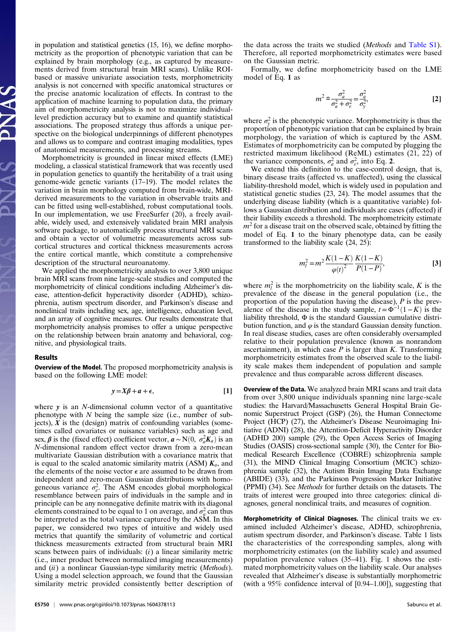in population and statistical genetics (15, 16), we define morphometricity as the proportion of phenotypic variation that can be explained by brain morphology (e.g., as captured by measurements derived from structural brain MRI scans). Unlike ROIbased or massive univariate association tests, morphometricity analysis is not concerned with specific anatomical structures or the precise anatomic localization of effects. In contrast to the application of machine learning to population data, the primary aim of morphometricity analysis is not to maximize individuallevel prediction accuracy but to examine and quantify statistical associations. The proposed strategy thus affords a unique perspective on the biological underpinnings of different phenotypes and allows us to compare and contrast imaging modalities, types of anatomical measurements, and processing streams.

Morphometricity is grounded in linear mixed effects (LME) modeling, a classical statistical framework that was recently used in population genetics to quantify the heritability of a trait using genome-wide genetic variants (17–19). The model relates the variation in brain morphology computed from brain-wide, MRIderived measurements to the variation in observable traits and can be fitted using well-established, robust computational tools. In our implementation, we use FreeSurfer (20), a freely available, widely used, and extensively validated brain MRI analysis software package, to automatically process structural MRI scans and obtain a vector of volumetric measurements across subcortical structures and cortical thickness measurements across the entire cortical mantle, which constitute a comprehensive description of the structural neuroanatomy.

We applied the morphometricity analysis to over 3,800 unique brain MRI scans from nine large-scale studies and computed the morphometricity of clinical conditions including Alzheimer's disease, attention-deficit hyperactivity disorder (ADHD), schizophrenia, autism spectrum disorder, and Parkinson's disease and nonclinical traits including sex, age, intelligence, education level, and an array of cognitive measures. Our results demonstrate that morphometricity analysis promises to offer a unique perspective on the relationship between brain anatomy and behavioral, cognitive, and physiological traits.

#### Results

Overview of the Model. The proposed morphometricity analysis is based on the following LME model:

$$
y = X\beta + a + \epsilon, \tag{1}
$$

where  $\nu$  is an *N*-dimensional column vector of a quantitative phenotype with  $N$  being the sample size (i.e., number of subjects),  $X$  is the (design) matrix of confounding variables (sometimes called covariates or nuisance variables) such as age and sex,  $\beta$  is the (fixed effect) coefficient vector,  $\mathbf{a} \sim \mathbf{N}(0, \sigma_a^2 \mathbf{K}_a)$  is an N-dimensional random effect vector drawn from a zero-mean multivariate Gaussian distribution with a covariance matrix that is equal to the scaled anatomic similarity matrix (ASM)  $K_a$ , and the elements of the noise vector  $\epsilon$  are assumed to be drawn from independent and zero-mean Gaussian distributions with homogeneous variance  $\sigma_e^2$ . The ASM encodes global morphological resemblance between pairs of individuals in the sample and in principle can be any nonnegative definite matrix with its diagonal elements constrained to be equal to 1 on average, and  $\sigma_a^2$  can thus be interpreted as the total variance captured by the ASM. In this paper, we considered two types of intuitive and widely used metrics that quantify the similarity of volumetric and cortical thickness measurements extracted from structural brain MRI scans between pairs of individuals: (i) a linear similarity metric (i.e., inner product between normalized imaging measurements) and  $(ii)$  a nonlinear Gaussian-type similarity metric (*Methods*). Using a model selection approach, we found that the Gaussian similarity metric provided consistently better description of the data across the traits we studied (Methods and [Table S1\)](http://www.pnas.org/lookup/suppl/doi:10.1073/pnas.1604378113/-/DCSupplemental/pnas.201604378SI.pdf?targetid=nameddest=ST1). Therefore, all reported morphometricity estimates were based on the Gaussian metric.

Formally, we define morphometricity based on the LME model of Eq. 1 as

$$
m^2 \doteq \frac{\sigma_a^2}{\sigma_a^2 + \sigma_e^2} = \frac{\sigma_a^2}{\sigma_v^2},
$$
 [2]

where  $\sigma_{v}^{2}$  is the phenotypic variance. Morphometricity is thus the proportion of phenotypic variation that can be explained by brain morphology, the variation of which is captured by the ASM. Estimates of morphometricity can be computed by plugging the restricted maximum likelihood (ReML) estimates (21, 22) of the variance components,  $\sigma_a^2$  and  $\sigma_e^2$ , into Eq. 2.

We extend this definition to the case-control design, that is, binary disease traits (affected vs. unaffected), using the classical liability-threshold model, which is widely used in population and statistical genetic studies (23, 24). The model assumes that the underlying disease liability (which is a quantitative variable) follows a Gaussian distribution and individuals are cases (affected) if their liability exceeds a threshold. The morphometricity estimate  $m<sup>2</sup>$  for a disease trait on the observed scale, obtained by fitting the model of Eq. 1 to the binary phenotype data, can be easily transformed to the liability scale  $(24, 25)$ :

$$
m_l^2 = m^2 \frac{K(1-K)}{\varphi(t)^2} \frac{K(1-K)}{P(1-P)},
$$
 [3]

where  $m_l^2$  is the morphometricity on the liability scale, K is the prevalence of the disease in the general population (i.e., the proportion of the population having the disease), P is the prevalence of the disease in the study sample,  $t = \Phi^{-1}(1 - K)$  is the liability threshold, Φ is the standard Gaussian cumulative distribution function, and  $\varphi$  is the standard Gaussian density function. In real disease studies, cases are often considerably oversampled relative to their population prevalence (known as nonrandom ascertainment), in which case  $P$  is larger than  $K$ . Transforming morphometricity estimates from the observed scale to the liability scale makes them independent of population and sample prevalence and thus comparable across different diseases.

Overview of the Data. We analyzed brain MRI scans and trait data from over 3,800 unique individuals spanning nine large-scale studies: the Harvard/Massachusetts General Hospital Brain Genomic Superstruct Project (GSP) (26), the Human Connectome Project (HCP) (27), the Alzheimer's Disease Neuroimaging Initiative (ADNI) (28), the Attention-Deficit Hyperactivity Disorder (ADHD 200) sample (29), the Open Access Series of Imaging Studies (OASIS) cross-sectional sample (30), the Center for Biomedical Research Excellence (COBRE) schizophrenia sample (31), the MIND Clinical Imaging Consortium (MCIC) schizophrenia sample (32), the Autism Brain Imaging Data Exchange (ABIDE) (33), and the Parkinson Progression Marker Initiative (PPMI) (34). See Methods for further details on the datasets. The traits of interest were grouped into three categories: clinical diagnoses, general nonclinical traits, and measures of cognition.

Morphometricity of Clinical Diagnoses. The clinical traits we examined included Alzheimer's disease, ADHD, schizophrenia, autism spectrum disorder, and Parkinson's disease. Table 1 lists the characteristics of the corresponding samples, along with morphometricity estimates (on the liability scale) and assumed population prevalence values (35–41). Fig. 1 shows the estimated morphometricity values on the liability scale. Our analyses revealed that Alzheimer's disease is substantially morphometric (with a 95% confidence interval of [0.94–1.00]), suggesting that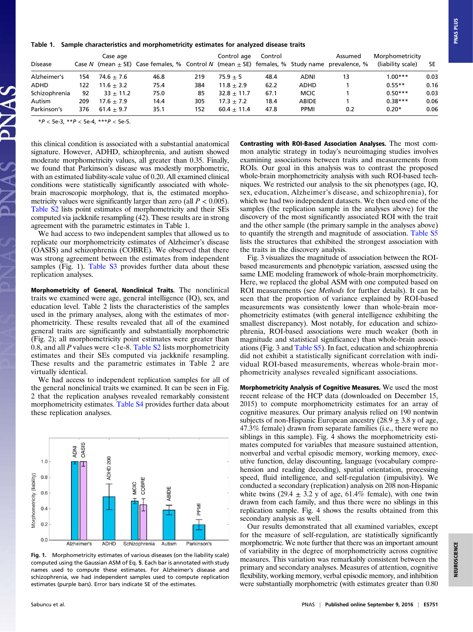#### Table 1. Sample characteristics and morphometricity estimates for analyzed disease traits

|                |     | Case age     |                                                                                                      |     | Control age   | Control |              | Assumed | Morphometricity   |      |
|----------------|-----|--------------|------------------------------------------------------------------------------------------------------|-----|---------------|---------|--------------|---------|-------------------|------|
| <b>Disease</b> |     |              | Case N (mean $\pm$ SE) Case females, % Control N (mean $\pm$ SE) females, % Study name prevalence, % |     |               |         |              |         | (liability scale) | -SE  |
| Alzheimer's    | 154 | $74.6 + 7.6$ | 46.8                                                                                                 | 219 | $75.9 + 5$    | 48.4    | <b>ADNI</b>  | 13      | $1.00***$         | 0.03 |
| ADHD           | 122 | $11.6 + 3.2$ | 75.4                                                                                                 | 384 | $11.8 + 2.9$  | 62.2    | <b>ADHD</b>  |         | $0.55**$          | 0.16 |
| Schizophrenia  | 92  | $33 + 11.2$  | 75.0                                                                                                 | 85  | $32.8 + 11.7$ | 67.1    | <b>MCIC</b>  |         | $0.50***$         | 0.03 |
| Autism         | 209 | $17.6 + 7.9$ | 14.4                                                                                                 | 305 | $17.3 + 7.2$  | 18.4    | <b>ABIDE</b> |         | $0.38***$         | 0.06 |
| Parkinson's    | 376 | $61.4 + 9.7$ | 35.1                                                                                                 | 152 | $60.4 + 11.4$ | 47.8    | <b>PPMI</b>  | 0.2     | $0.20*$           | 0.06 |

 $*P < 5e-3$ ,  $*P < 5e-4$ ,  $**P < 5e-5$ .

this clinical condition is associated with a substantial anatomical signature. However, ADHD, schizophrenia, and autism showed moderate morphometricity values, all greater than 0.35. Finally, we found that Parkinson's disease was modestly morphometric, with an estimated liability-scale value of 0.20. All examined clinical conditions were statistically significantly associated with wholebrain macroscopic morphology, that is, the estimated morphometricity values were significantly larger than zero (all  $P < 0.005$ ). [Table S2](http://www.pnas.org/lookup/suppl/doi:10.1073/pnas.1604378113/-/DCSupplemental/pnas.201604378SI.pdf?targetid=nameddest=ST2) lists point estimates of morphometricity and their SEs computed via jackknife resampling (42). These results are in strong agreement with the parametric estimates in Table 1.

We had access to two independent samples that allowed us to replicate our morphometricity estimates of Alzheimer's disease (OASIS) and schizophrenia (COBRE). We observed that there was strong agreement between the estimates from independent samples (Fig. 1). [Table S3](http://www.pnas.org/lookup/suppl/doi:10.1073/pnas.1604378113/-/DCSupplemental/pnas.201604378SI.pdf?targetid=nameddest=ST3) provides further data about these replication analyses.

Morphometricity of General, Nonclinical Traits. The nonclinical traits we examined were age, general intelligence (IQ), sex, and education level. Table 2 lists the characteristics of the samples used in the primary analyses, along with the estimates of morphometricity. These results revealed that all of the examined general traits are significantly and substantially morphometric (Fig. 2); all morphometricity point estimates were greater than 0.8, and all P values were  $\langle$ 1e-8. Table S<sub>2</sub> lists morphometricity estimates and their SEs computed via jackknife resampling. These results and the parametric estimates in Table 2 are virtually identical.

We had access to independent replication samples for all of the general nonclinical traits we examined. It can be seen in Fig. 2 that the replication analyses revealed remarkably consistent morphometricity estimates. [Table S4](http://www.pnas.org/lookup/suppl/doi:10.1073/pnas.1604378113/-/DCSupplemental/pnas.201604378SI.pdf?targetid=nameddest=ST4) provides further data about these replication analyses.



Fig. 1. Morphometricity estimates of various diseases (on the liability scale) computed using the Gaussian ASM of Eq. 5. Each bar is annotated with study names used to compute these estimates. For Alzheimer's disease and schizophrenia, we had independent samples used to compute replication estimates (purple bars). Error bars indicate SE of the estimates.

Contrasting with ROI-Based Association Analyses. The most common analytic strategy in today's neuroimaging studies involves examining associations between traits and measurements from ROIs. Our goal in this analysis was to contrast the proposed whole-brain morphometricity analysis with such ROI-based techniques. We restricted our analysis to the six phenotypes (age, IQ, sex, education, Alzheimer's disease, and schizophrenia), for which we had two independent datasets. We then used one of the samples (the replication sample in the analyses above) for the discovery of the most significantly associated ROI with the trait and the other sample (the primary sample in the analyses above) to quantify the strength and magnitude of association. [Table S5](http://www.pnas.org/lookup/suppl/doi:10.1073/pnas.1604378113/-/DCSupplemental/pnas.201604378SI.pdf?targetid=nameddest=ST5) lists the structures that exhibited the strongest association with the traits in the discovery analysis.

Fig. 3 visualizes the magnitude of association between the ROIbased measurements and phenotypic variation, assessed using the same LME modeling framework of whole-brain morphometricity. Here, we replaced the global ASM with one computed based on ROI measurements (see Methods for further details). It can be seen that the proportion of variance explained by ROI-based measurements was consistently lower than whole-brain morphometricity estimates (with general intelligence exhibiting the smallest discrepancy). Most notably, for education and schizophrenia, ROI-based associations were much weaker (both in magnitude and statistical significance) than whole-brain associations (Fig. 3 and [Table S5\)](http://www.pnas.org/lookup/suppl/doi:10.1073/pnas.1604378113/-/DCSupplemental/pnas.201604378SI.pdf?targetid=nameddest=ST5). In fact, education and schizophrenia did not exhibit a statistically significant correlation with individual ROI-based measurements, whereas whole-brain morphometricity analyses revealed significant associations.

Morphometricity Analysis of Cognitive Measures. We used the most recent release of the HCP data (downloaded on December 15, 2015) to compute morphometricity estimates for an array of cognitive measures. Our primary analysis relied on 190 nontwin subjects of non-Hispanic European ancestry  $(28.9 \pm 3.8 \text{ y of age},$ 47.3% female) drawn from separate families (i.e., there were no siblings in this sample). Fig. 4 shows the morphometricity estimates computed for variables that measure sustained attention, nonverbal and verbal episodic memory, working memory, executive function, delay discounting, language (vocabulary comprehension and reading decoding), spatial orientation, processing speed, fluid intelligence, and self-regulation (impulsivity). We conducted a secondary (replication) analysis on 208 non-Hispanic white twins  $(29.4 \pm 3.2 \text{ y of age}, 61.4\% \text{ female})$ , with one twin drawn from each family, and thus there were no siblings in this replication sample. Fig. 4 shows the results obtained from this secondary analysis as well.

Our results demonstrated that all examined variables, except for the measure of self-regulation, are statistically significantly morphometric. We note further that there was an important amount of variability in the degree of morphometricity across cognitive measures. This variation was remarkably consistent between the primary and secondary analyses. Measures of attention, cognitive flexibility, working memory, verbal episodic memory, and inhibition were substantially morphometric (with estimates greater than 0.80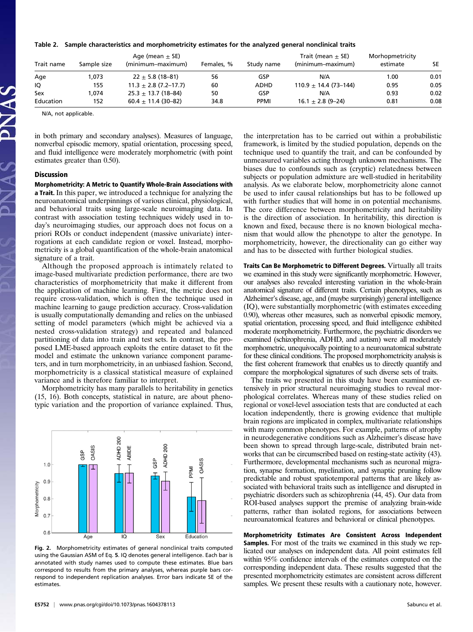|  | Table 2. Sample characteristics and morphometricity estimates for the analyzed general nonclinical traits |  |  |  |  |
|--|-----------------------------------------------------------------------------------------------------------|--|--|--|--|
|--|-----------------------------------------------------------------------------------------------------------|--|--|--|--|

| Trait name | Sample size | Age (mean $\pm$ SE)<br>(minimum–maximum) | Females, % | Study name  | Trait (mean $\pm$ SE)<br>(minimum-maximum) | Morhopmetricity<br>estimate | SE   |
|------------|-------------|------------------------------------------|------------|-------------|--------------------------------------------|-----------------------------|------|
| Age        | 1.073       | $22 \pm 5.8$ (18-81)                     | 56         | GSP         | N/A                                        | 1.00                        | 0.01 |
| IQ         | 155         | $11.3 \pm 2.8$ (7.2–17.7)                | 60         | <b>ADHD</b> | $110.9 \pm 14.4$ (73-144)                  | 0.95                        | 0.05 |
| Sex        | 1.074       | $25.3 \pm 13.7$ (18-84)                  | 50         | GSP         | N/A                                        | 0.93                        | 0.02 |
| Education  | 152         | $60.4 \pm 11.4$ (30–82)                  | 34.8       | <b>PPMI</b> | $16.1 + 2.8(9 - 24)$                       | 0.81                        | 0.08 |

N/A, not applicable.

in both primary and secondary analyses). Measures of language, nonverbal episodic memory, spatial orientation, processing speed, and fluid intelligence were moderately morphometric (with point estimates greater than 0.50).

#### Discussion

Morphometricity: A Metric to Quantify Whole-Brain Associations with a Trait. In this paper, we introduced a technique for analyzing the neuroanatomical underpinnings of various clinical, physiological, and behavioral traits using large-scale neuroimaging data. In contrast with association testing techniques widely used in today's neuroimaging studies, our approach does not focus on a priori ROIs or conduct independent (massive univariate) interrogations at each candidate region or voxel. Instead, morphometricity is a global quantification of the whole-brain anatomical signature of a trait.

Although the proposed approach is intimately related to image-based multivariate prediction performance, there are two characteristics of morphometricity that make it different from the application of machine learning. First, the metric does not require cross-validation, which is often the technique used in machine learning to gauge prediction accuracy. Cross-validation is usually computationally demanding and relies on the unbiased setting of model parameters (which might be achieved via a nested cross-validation strategy) and repeated and balanced partitioning of data into train and test sets. In contrast, the proposed LME-based approach exploits the entire dataset to fit the model and estimate the unknown variance component parameters, and in turn morphometricity, in an unbiased fashion. Second, morphometricity is a classical statistical measure of explained variance and is therefore familiar to interpret.

Morphometricity has many parallels to heritability in genetics (15, 16). Both concepts, statistical in nature, are about phenotypic variation and the proportion of variance explained. Thus,



Fig. 2. Morphometricity estimates of general nonclinical traits computed using the Gaussian ASM of Eq. 5. IQ denotes general intelligence. Each bar is annotated with study names used to compute these estimates. Blue bars correspond to results from the primary analyses, whereas purple bars correspond to independent replication analyses. Error bars indicate SE of the estimates.

the interpretation has to be carried out within a probabilistic framework, is limited by the studied population, depends on the technique used to quantify the trait, and can be confounded by unmeasured variables acting through unknown mechanisms. The biases due to confounds such as (cryptic) relatedness between subjects or population admixture are well-studied in heritability analysis. As we elaborate below, morphometricity alone cannot be used to infer causal relationships but has to be followed up with further studies that will home in on potential mechanisms. The core difference between morphometricity and heritability is the direction of association. In heritability, this direction is known and fixed, because there is no known biological mechanism that would allow the phenotype to alter the genotype. In morphometricity, however, the directionality can go either way and has to be dissected with further biological studies.

Traits Can Be Morphometric to Different Degrees. Virtually all traits we examined in this study were significantly morphometric. However, our analyses also revealed interesting variation in the whole-brain anatomical signature of different traits. Certain phenotypes, such as Alzheimer's disease, age, and (maybe surprisingly) general intelligence (IQ), were substantially morphometric (with estimates exceeding 0.90), whereas other measures, such as nonverbal episodic memory, spatial orientation, processing speed, and fluid intelligence exhibited moderate morphometricity. Furthermore, the psychiatric disorders we examined (schizophrenia, ADHD, and autism) were all moderately morphometric, unequivocally pointing to a neuroanatomical substrate for these clinical conditions. The proposed morphometricity analysis is the first coherent framework that enables us to directly quantify and compare the morphological signatures of such diverse sets of traits.

The traits we presented in this study have been examined extensively in prior structural neuroimaging studies to reveal morphological correlates. Whereas many of these studies relied on regional or voxel-level association tests that are conducted at each location independently, there is growing evidence that multiple brain regions are implicated in complex, multivariate relationships with many common phenotypes. For example, patterns of atrophy in neurodegenerative conditions such as Alzheimer's disease have been shown to spread through large-scale, distributed brain networks that can be circumscribed based on resting-state activity (43). Furthermore, developmental mechanisms such as neuronal migration, synapse formation, myelination, and synaptic pruning follow predictable and robust spatiotemporal patterns that are likely associated with behavioral traits such as intelligence and disrupted in psychiatric disorders such as schizophrenia (44, 45). Our data from ROI-based analyses support the premise of analyzing brain-wide patterns, rather than isolated regions, for associations between neuroanatomical features and behavioral or clinical phenotypes.

Morphometricity Estimates Are Consistent Across Independent Samples. For most of the traits we examined in this study we replicated our analyses on independent data. All point estimates fell within 95% confidence intervals of the estimates computed on the corresponding independent data. These results suggested that the presented morphometricity estimates are consistent across different samples. We present these results with a cautionary note, however.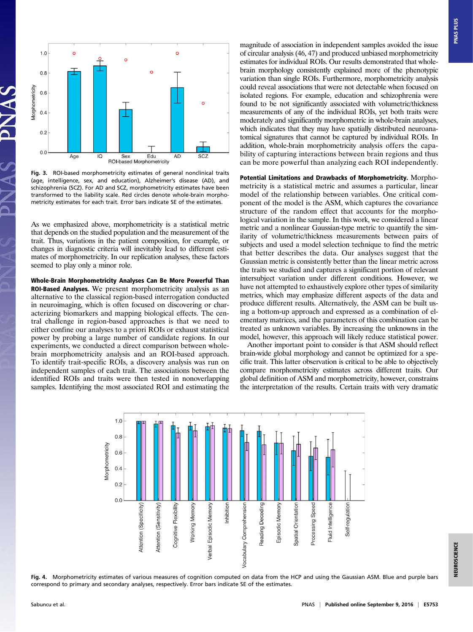

Fig. 3. ROI-based morphometricity estimates of general nonclinical traits (age, intelligence, sex, and education), Alzheimer's disease (AD), and schizophrenia (SCZ). For AD and SCZ, morphometricity estimates have been transformed to the liability scale. Red circles denote whole-brain morphometricity estimates for each trait. Error bars indicate SE of the estimates.

As we emphasized above, morphometricity is a statistical metric that depends on the studied population and the measurement of the trait. Thus, variations in the patient composition, for example, or changes in diagnostic criteria will inevitably lead to different estimates of morphometricity. In our replication analyses, these factors seemed to play only a minor role.

Whole-Brain Morphometricity Analyses Can Be More Powerful Than ROI-Based Analyses. We present morphometricity analysis as an alternative to the classical region-based interrogation conducted in neuroimaging, which is often focused on discovering or characterizing biomarkers and mapping biological effects. The central challenge in region-based approaches is that we need to either confine our analyses to a priori ROIs or exhaust statistical power by probing a large number of candidate regions. In our experiments, we conducted a direct comparison between wholebrain morphometricity analysis and an ROI-based approach. To identify trait-specific ROIs, a discovery analysis was run on independent samples of each trait. The associations between the identified ROIs and traits were then tested in nonoverlapping samples. Identifying the most associated ROI and estimating the

magnitude of association in independent samples avoided the issue of circular analysis (46, 47) and produced unbiased morphometricity estimates for individual ROIs. Our results demonstrated that wholebrain morphology consistently explained more of the phenotypic variation than single ROIs. Furthermore, morphometricity analysis could reveal associations that were not detectable when focused on isolated regions. For example, education and schizophrenia were found to be not significantly associated with volumetric/thickness measurements of any of the individual ROIs, yet both traits were moderately and significantly morphometric in whole-brain analyses, which indicates that they may have spatially distributed neuroanatomical signatures that cannot be captured by individual ROIs. In addition, whole-brain morphometricity analysis offers the capability of capturing interactions between brain regions and thus can be more powerful than analyzing each ROI independently.

Potential Limitations and Drawbacks of Morphometricity. Morphometricity is a statistical metric and assumes a particular, linear model of the relationship between variables. One critical component of the model is the ASM, which captures the covariance structure of the random effect that accounts for the morphological variation in the sample. In this work, we considered a linear metric and a nonlinear Gaussian-type metric to quantify the similarity of volumetric/thickness measurements between pairs of subjects and used a model selection technique to find the metric that better describes the data. Our analyses suggest that the Gaussian metric is consistently better than the linear metric across the traits we studied and captures a significant portion of relevant intersubject variation under different conditions. However, we have not attempted to exhaustively explore other types of similarity metrics, which may emphasize different aspects of the data and produce different results. Alternatively, the ASM can be built using a bottom-up approach and expressed as a combination of elementary matrices, and the parameters of this combination can be treated as unknown variables. By increasing the unknowns in the model, however, this approach will likely reduce statistical power.

Another important point to consider is that ASM should reflect brain-wide global morphology and cannot be optimized for a specific trait. This latter observation is critical to be able to objectively compare morphometricity estimates across different traits. Our global definition of ASM and morphometricity, however, constrains the interpretation of the results. Certain traits with very dramatic



Fig. 4. Morphometricity estimates of various measures of cognition computed on data from the HCP and using the Gaussian ASM. Blue and purple bars correspond to primary and secondary analyses, respectively. Error bars indicate SE of the estimates.

**NEUROS CIENCE**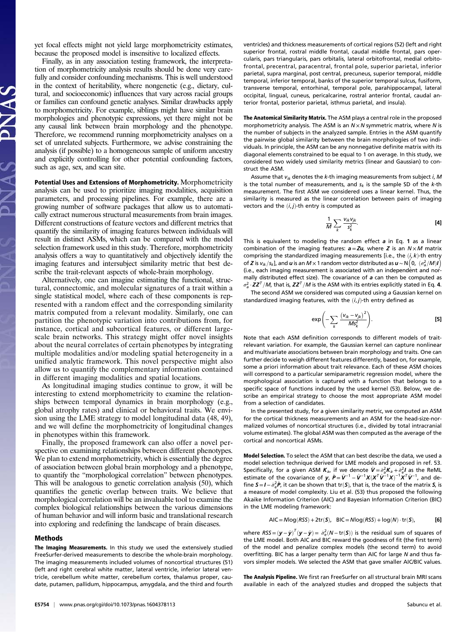yet focal effects might not yield large morphometricity estimates, because the proposed model is insensitive to localized effects.

Finally, as in any association testing framework, the interpretation of morphometricity analysis results should be done very carefully and consider confounding mechanisms. This is well understood in the context of heritability, where nongenetic (e.g., dietary, cultural, and socioeconomic) influences that vary across racial groups or families can confound genetic analyses. Similar drawbacks apply to morphometricity. For example, siblings might have similar brain morphologies and phenotypic expressions, yet there might not be any causal link between brain morphology and the phenotype. Therefore, we recommend running morphometricity analyses on a set of unrelated subjects. Furthermore, we advise constraining the analysis (if possible) to a homogeneous sample of uniform ancestry and explicitly controlling for other potential confounding factors, such as age, sex, and scan site.

Potential Uses and Extensions of Morphometricity. Morphometricity analysis can be used to prioritize imaging modalities, acquisition parameters, and processing pipelines. For example, there are a growing number of software packages that allow us to automatically extract numerous structural measurements from brain images. Different constructions of feature vectors and different metrics that quantify the similarity of imaging features between individuals will result in distinct ASMs, which can be compared with the model selection framework used in this study. Therefore, morphometricity analysis offers a way to quantitatively and objectively identify the imaging features and intersubject similarity metric that best describe the trait-relevant aspects of whole-brain morphology.

Alternatively, one can imagine estimating the functional, structural, connectomic, and molecular signatures of a trait within a single statistical model, where each of these components is represented with a random effect and the corresponding similarity matrix computed from a relevant modality. Similarly, one can partition the phenotypic variation into contributions from, for instance, cortical and subcortical features, or different largescale brain networks. This strategy might offer novel insights about the neural correlates of certain phenotypes by integrating multiple modalities and/or modeling spatial heterogeneity in a unified analytic framework. This novel perspective might also allow us to quantify the complementary information contained in different imaging modalities and spatial locations.

As longitudinal imaging studies continue to grow, it will be interesting to extend morphometricity to examine the relationships between temporal dynamics in brain morphology (e.g., global atrophy rates) and clinical or behavioral traits. We envision using the LME strategy to model longitudinal data (48, 49), and we will define the morphometricity of longitudinal changes in phenotypes within this framework.

Finally, the proposed framework can also offer a novel perspective on examining relationships between different phenotypes. We plan to extend morphometricity, which is essentially the degree of association between global brain morphology and a phenotype, to quantify the "morphological correlation" between phenotypes. This will be analogous to genetic correlation analysis (50), which quantifies the genetic overlap between traits. We believe that morphological correlation will be an invaluable tool to examine the complex biological relationships between the various dimensions of human behavior and will inform basic and translational research into exploring and redefining the landscape of brain diseases.

#### Methods

The Imaging Measurements. In this study we used the extensively studied FreeSurfer-derived measurements to describe the whole-brain morphology. The imaging measurements included volumes of noncortical structures (51) (left and right cerebral white matter, lateral ventricle, inferior lateral ventricle, cerebellum white matter, cerebellum cortex, thalamus proper, caudate, putamen, pallidum, hippocampus, amygdala, and the third and fourth ventricles) and thickness measurements of cortical regions (52) (left and right superior frontal, rostral middle frontal, caudal middle frontal, pars opercularis, pars triangularis, pars orbitalis, lateral orbitofrontal, medial orbitofrontal, precentral, paracentral, frontal pole, superior parietal, inferior parietal, supra marginal, post central, precuneus, superior temporal, middle temporal, inferior temporal, banks of the superior temporal sulcus, fusiform, transverse temporal, entorhinal, temporal pole, parahippocampal, lateral occipital, lingual, cuneus, pericalcarine, rostral anterior frontal, caudal anterior frontal, posterior parietal, isthmus parietal, and insula).

The Anatomical Similarity Matrix. The ASM plays a central role in the proposed morphometricity analysis. The ASM is an  $N \times N$  symmetric matrix, where N is the number of subjects in the analyzed sample. Entries in the ASM quantify the pairwise global similarity between the brain morphologies of two individuals. In principle, the ASM can be any nonnegative definite matrix with its diagonal elements constrained to be equal to 1 on average. In this study, we considered two widely used similarity metrics (linear and Gaussian) to construct the ASM.

Assume that  $v_{ik}$  denotes the k-th imaging measurements from subject i, M is the total number of measurements, and  $s_k$  is the sample SD of the k-th measurement. The first ASM we considered uses a linear kernel. Thus, the similarity is measured as the linear correlation between pairs of imaging vectors and the  $(i, j)$ -th entry is computed as

$$
\frac{1}{M}\sum_{k}\frac{v_{ik}v_{jk}}{s_k^2}.
$$
 [4]

This is equivalent to modeling the random effect a in Eq. 1 as a linear combination of the imaging features:  $a = Zu$ , where Z is an  $N \times M$  matrix comprising the standardized imaging measurements [i.e., the  $(\dot\jmath, k)$ -th entry of **Z** is  $v_{ik}/s_k$ ], and  $u$  is an  $M \times 1$  random vector distributed as  $u \sim N\left(0, \frac{\sigma_a^2}{M}\right)$ (i.e., each imaging measurement is associated with an independent and normally distributed effect size). The covariance of a can then be computed as  $\sigma_{\!a}^{\!2}\cdot$  ZZ $^{\mathsf{T}}/M$ , that is, ZZ $^{\mathsf{T}}/M$  is the ASM with its entries explicitly stated in Eq. 4.

The second ASM we considered was computed using a Gaussian kernel on standardized imaging features, with the  $(i, j)$ -th entry defined as

$$
\exp\left(-\sum_{k}\frac{(v_{ik}-v_{jk})^2}{M s_k^2}\right).
$$
 [5]

Note that each ASM definition corresponds to different models of traitrelevant variation. For example, the Gaussian kernel can capture nonlinear and multivariate associations between brain morphology and traits. One can further decide to weigh different features differently, based on, for example, some a priori information about trait relevance. Each of these ASM choices will correspond to a particular semiparametric regression model, where the morphological association is captured with a function that belongs to a specific space of functions induced by the used kernel (53). Below, we describe an empirical strategy to choose the most appropriate ASM model from a selection of candidates.

In the presented study, for a given similarity metric, we computed an ASM for the cortical thickness measurements and an ASM for the head-size-normalized volumes of noncortical structures (i.e., divided by total intracranial volume estimates). The global ASM was then computed as the average of the cortical and noncortical ASMs.

Model Selection. To select the ASM that can best describe the data, we used a model selection technique derived for LME models and proposed in ref. 53. Specifically, for a given ASM  $K_a$ , if we denote  $\hat{V} = \hat{\sigma}_a^2 K_a + \hat{\sigma}_e^2 I$  as the ReML estimate of the covariance of  $y$ ,  $\hat{P} = \hat{V}^{-1} - \hat{V}^{-1}X(\hat{X}^T\hat{V}^{-1}X)^{-1}X^T\hat{V}^{-1}$ , and define  $S = I - \hat{\sigma}_{e}^{2} \hat{P}$ , it can be shown that tr $(S)$ , that is, the trace of the matrix  $S$ , is a measure of model complexity. Liu et al. (53) thus proposed the following Akaike Information Criterion (AIC) and Bayesian Information Criterion (BIC) in the LME modeling framework:

$$
AIC = Nlog(RSS) + 2tr(S), \quad BIC = Nlog(RSS) + log(N) \cdot tr(S),
$$
 [6]

where  $RSS = (\bm{y} - \hat{\bm{y}})^T (\bm{y} - \hat{\bm{y}}) = \hat{\sigma}_e^2 (N - \text{tr}(\bm{S}))$  is the residual sum of squares of the LME model. Both AIC and BIC reward the goodness of fit (the first term) of the model and penalize complex models (the second term) to avoid overfitting. BIC has a larger penalty term than AIC for large N and thus favors simpler models. We selected the ASM that gave smaller AIC/BIC values.

The Analysis Pipeline. We first ran FreeSurfer on all structural brain MRI scans available in each of the analyzed studies and dropped the subjects that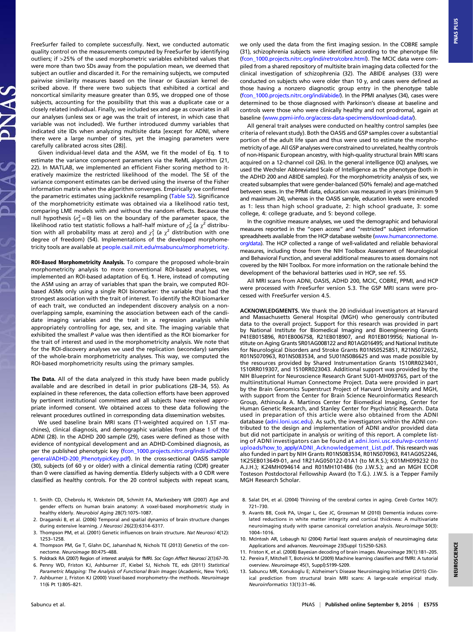FreeSurfer failed to complete successfully. Next, we conducted automatic quality control on the measurements computed by FreeSurfer by identifying outliers; if >25% of the used morphometric variables exhibited values that were more than two SDs away from the population mean, we deemed that subject an outlier and discarded it. For the remaining subjects, we computed pairwise similarity measures based on the linear or Gaussian kernel described above. If there were two subjects that exhibited a cortical and noncortical similarity measure greater than 0.95, we dropped one of those subjects, accounting for the possibility that this was a duplicate case or a closely related individual. Finally, we included sex and age as covariates in all our analyses (unless sex or age was the trait of interest, in which case that variable was not included). We further introduced dummy variables that indicated site IDs when analyzing multisite data [except for ADNI, where there were a large number of sites, yet the imaging parameters were carefully calibrated across sites (28)].

Given individual-level data and the ASM, we fit the model of Eq. 1 to estimate the variance component parameters via the ReML algorithm (21, 22). In MATLAB, we implemented an efficient Fisher scoring method to iteratively maximize the restricted likelihood of the model. The SE of the variance component estimates can be derived using the inverse of the Fisher information matrix when the algorithm converges. Empirically we confirmed the parametric estimates using jackknife resampling ([Table S2\)](http://www.pnas.org/lookup/suppl/doi:10.1073/pnas.1604378113/-/DCSupplemental/pnas.201604378SI.pdf?targetid=nameddest=ST2). Significance of the morphometricity estimate was obtained via a likelihood ratio test, comparing LME models with and without the random effects. Because the null hypothesis ( $\sigma_a^2 = 0$ ) lies on the boundary of the parameter space, the likelihood ratio test statistic follows a half–half mixture of  $\chi^2_0$  (a  $\chi^2$  distribution with all probability mass at zero) and  $\chi_1^2$  (a  $\chi^2$  distribution with one degree of freedom) (54). Implementations of the developed morphometricity tools are available at [people.csail.mit.edu/msabuncu/morphometricity.](http://people.csail.mit.edu/msabuncu/morphometricity)

ROI-Based Morphometricity Analysis. To compare the proposed whole-brain morphometricity analysis to more conventional ROI-based analyses, we implemented an ROI-based adaptation of Eq. 1. Here, instead of computing the ASM using an array of variables that span the brain, we computed ROIbased ASMs only using a single ROI biomarker: the variable that had the strongest association with the trait of interest. To identify the ROI biomarker of each trait, we conducted an independent discovery analysis on a nonoverlapping sample, examining the association between each of the candidate imaging variables and the trait in a regression analysis while appropriately controlling for age, sex, and site. The imaging variable that exhibited the smallest P value was then identified as the ROI biomarker for the trait of interest and used in the morphometricity analysis. We note that for the ROI-discovery analyses we used the replication (secondary) samples of the whole-brain morphometricity analyses. This way, we computed the ROI-based morphometricity results using the primary samples.

The Data. All of the data analyzed in this study have been made publicly available and are described in detail in prior publications (28–34, 55). As explained in these references, the data collection efforts have been approved by pertinent institutional committees and all subjects have received appropriate informed consent. We obtained access to these data following the relevant procedures outlined in corresponding data dissemination websites.

We used baseline brain MRI scans (T1-weighted acquired on 1.5T machines), clinical diagnosis, and demographic variables from phase 1 of the ADNI (28). In the ADHD 200 sample (29), cases were defined as those with evidence of nontypical development and an ADHD-Combined diagnosis, as per the published phenotypic key ([fcon\\_1000.projects.nitrc.org/indi/adhd200/](http://fcon_1000.projects.nitrc.org/indi/adhd200/general/ADHD-200_PhenotypicKey.pdf) [general/ADHD-200\\_PhenotypicKey.pdf\)](http://fcon_1000.projects.nitrc.org/indi/adhd200/general/ADHD-200_PhenotypicKey.pdf). In the cross-sectional OASIS sample (30), subjects (of 60 y or older) with a clinical dementia rating (CDR) greater than 0 were classified as having dementia. Elderly subjects with a 0 CDR were classified as healthy controls. For the 20 control subjects with repeat scans,

- 1. Smith CD, Chebrolu H, Wekstein DR, Schmitt FA, Markesbery WR (2007) Age and gender effects on human brain anatomy: A voxel-based morphometric study in healthy elderly. Neurobiol Aging 28(7):1075–1087.
- 2. Draganski B, et al. (2006) Temporal and spatial dynamics of brain structure changes during extensive learning. J Neurosci 26(23):6314–6317.
- 3. Thompson PM, et al. (2001) Genetic influences on brain structure. Nat Neurosci 4(12): 1253–1258.
- 4. Thompson PM, Ge T, Glahn DC, Jahanshad N, Nichols TE (2013) Genetics of the connectome. Neuroimage 80:475–488.
- 5. Poldrack RA (2007) Region of interest analysis for fMRI. Soc Cogn Affect Neurosci 2(1):67–70. 6. Penny WD, Friston KJ, Ashburner JT, Kiebel SJ, Nichols TE, eds (2011) Statistical
- Parametric Mapping: The Analysis of Functional Brain Images (Academic, New York). 7. Ashburner J, Friston KJ (2000) Voxel-based morphometry–the methods. Neuroimage 11(6 Pt 1):805–821.

we only used the data from the first imaging session. In the COBRE sample (31), schizophrenia subjects were identified according to the phenotype file [\(fcon\\_1000.projects.nitrc.org/indi/retro/cobre.html\)](http://fcon_1000.projects.nitrc.org/indi/retro/cobre.html). The MCIC data were compiled from a shared repository of multisite brain imaging data collected for the clinical investigation of schizophrenia (32). The ABIDE analyses (33) were conducted on subjects who were older than 10 y, and cases were defined as those having a nonzero diagnostic group entry in the phenotype table (fcon 1000.projects.nitrc.org/indi/abide/). In the PPMI analyses (34), cases were determined to be those diagnosed with Parkinson's disease at baseline and controls were those who were clinically healthy and not prodromal, again at baseline [\(www.ppmi-info.org/access-data-specimens/download-data/](http://www.ppmi-info.org/access-data-specimens/download-data/)).

All general trait analyses were conducted on healthy control samples (see criteria of relevant study). Both the OASIS and GSP samples cover a substantial portion of the adult life span and thus were used to estimate the morphometricity of age. All GSP analyses were constrained to unrelated, healthy controls of non-Hispanic European ancestry, with high-quality structural brain MRI scans acquired on a 12-channel coil (26). In the general intelligence (IQ) analyses, we used the Wechsler Abbreviated Scale of Intelligence as the phenotype (both in the ADHD 200 and ABIDE samples). For the morphometricity analysis of sex, we created subsamples that were gender-balanced (50% female) and age-matched between sexes. In the PPMI data, education was measured in years (minimum 9 and maximum 24), whereas in the OASIS sample, education levels were encoded as 1: less than high school graduate, 2: high school graduate, 3: some college, 4: college graduate, and 5: beyond college.

In the cognitive measure analyses, we used the demographic and behavioral measures reported in the "open access" and "restricted" subject information spreadsheets available from the HCP database website [\(www.humanconnectome.](http://www.humanconnectome.org/data) [org/data\)](http://www.humanconnectome.org/data). The HCP collected a range of well-validated and reliable behavioral measures, including those from the NIH Toolbox Assessment of Neurological and Behavioral Function, and several additional measures to assess domains not covered by the NIH Toolbox. For more information on the rationale behind the development of the behavioral batteries used in HCP, see ref. 55.

All MRI scans from ADNI, OASIS, ADHD 200, MCIC, COBRE, PPMI, and HCP were processed with FreeSurfer version 5.3. The GSP MRI scans were processed with FreeSurfer version 4.5.

ACKNOWLEDGMENTS. We thank the 20 individual investigators at Harvard and Massachusetts General Hospital (MGH) who generously contributed data to the overall project. Support for this research was provided in part by National Institute for Biomedical Imaging and Bioengineering Grants P41EB015896, R01EB006758, R21EB018907, and R01EB019956; National Institute on Aging Grants 5R01AG008122 and R01AG016495; and National Institute for Neurological Disorders and Stroke Grants R01NS0525851, R21NS072652, R01NS070963, R01NS083534, and 5U01NS086625 and was made possible by the resources provided by Shared Instrumentation Grants 1S10RR023401, 1S10RR019307, and 1S10RR023043. Additional support was provided by the NIH Blueprint for Neuroscience Research Grant 5U01-MH093765, part of the multiinstitutional Human Connectome Project. Data were provided in part by the Brain Genomics Superstruct Project of Harvard University and MGH, with support from the Center for Brain Science Neuroinformatics Research Group, Athinoula A. Martinos Center for Biomedical Imaging, Center for Human Genetic Research, and Stanley Center for Psychiatric Research. Data used in preparation of this article were also obtained from the ADNI database [\(adni.loni.usc.edu\)](http://adni.loni.usc.edu/). As such, the investigators within the ADNI contributed to the design and implementation of ADNI and/or provided data but did not participate in analysis or writing of this report. A complete listing of ADNI investigators can be found at [adni.loni.usc.edu/wp-content/](http://adni.loni.usc.edu/wp-content/uploads/how_to_apply/ADNI_Acknowledgement_List.pdf) [uploads/how\\_to\\_apply/ADNI\\_Acknowledgement\\_List.pdf.](http://adni.loni.usc.edu/wp-content/uploads/how_to_apply/ADNI_Acknowledgement_List.pdf) This research was also funded in part by NIH Grants R01NS083534, R01NS070963, R41AG052246, 1K25EB013649-01, and 1R21AG050122-01A1 (to M.R.S.); K01MH099232 (to A.J.H.); K24MH094614 and R01MH101486 (to J.W.S.); and an MGH ECOR Tosteson Postdoctoral Fellowship Award (to T.G.). J.W.S. is a Tepper Family MGH Research Scholar.

- 8. Salat DH, et al. (2004) Thinning of the cerebral cortex in aging. Cereb Cortex 14(7): 721–730.
- 9. Avants BB, Cook PA, Ungar L, Gee JC, Grossman M (2010) Dementia induces correlated reductions in white matter integrity and cortical thickness: A multivariate neuroimaging study with sparse canonical correlation analysis. Neuroimage 50(3): 1004–1016.
- 10. McIntosh AR, Lobaugh NJ (2004) Partial least squares analysis of neuroimaging data: Applications and advances. Neuroimage 23(Suppl 1):S250–S263.
- 11. Friston K, et al. (2008) Bayesian decoding of brain images. Neuroimage 39(1):181–205. 12. Pereira F, Mitchell T, Botvinick M (2009) Machine learning classifiers and fMRI: A tutorial overview. Neuroimage 45(1, Suppl):S199–S209.
- 13. Sabuncu MR, Konukoglu E; Alzheimer's Disease Neuroimaging Initiative (2015) Clinical prediction from structural brain MRI scans: A large-scale empirical study. Neuroinformatics 13(1):31–46.

**NEUROS CIENCE**